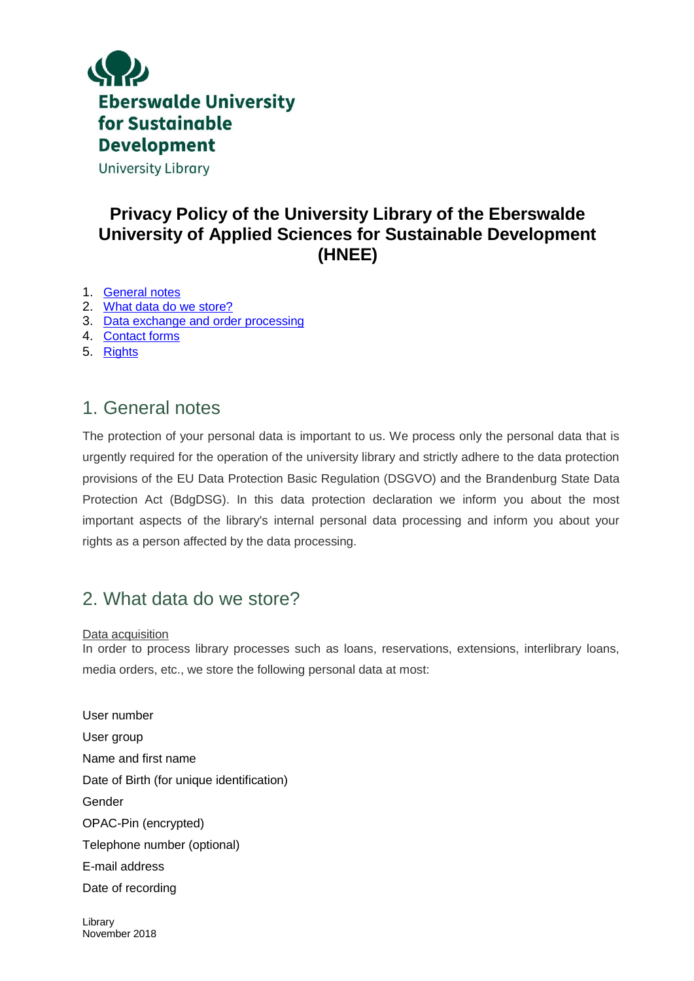

### **Privacy Policy of the University Library of the Eberswalde University of Applied Sciences for Sustainable Development (HNEE)**

- 1. [General notes](#page-0-0)
- 2. [What data do we store?](#page-0-1)
- 3. [Data exchange and order processing](#page-1-0)
- 4. [Contact forms](#page-2-0)
- 5. [Rights](#page-2-1)

### <span id="page-0-0"></span>1. General notes

The protection of your personal data is important to us. We process only the personal data that is urgently required for the operation of the university library and strictly adhere to the data protection provisions of the EU Data Protection Basic Regulation (DSGVO) and the Brandenburg State Data Protection Act (BdgDSG). In this data protection declaration we inform you about the most important aspects of the library's internal personal data processing and inform you about your rights as a person affected by the data processing.

### <span id="page-0-1"></span>2. What data do we store?

Data acquisition In order to process library processes such as loans, reservations, extensions, interlibrary loans, media orders, etc., we store the following personal data at most:

User number User group Name and first name Date of Birth (for unique identification) Gender OPAC-Pin (encrypted) Telephone number (optional) E-mail address Date of recording

Library November 2018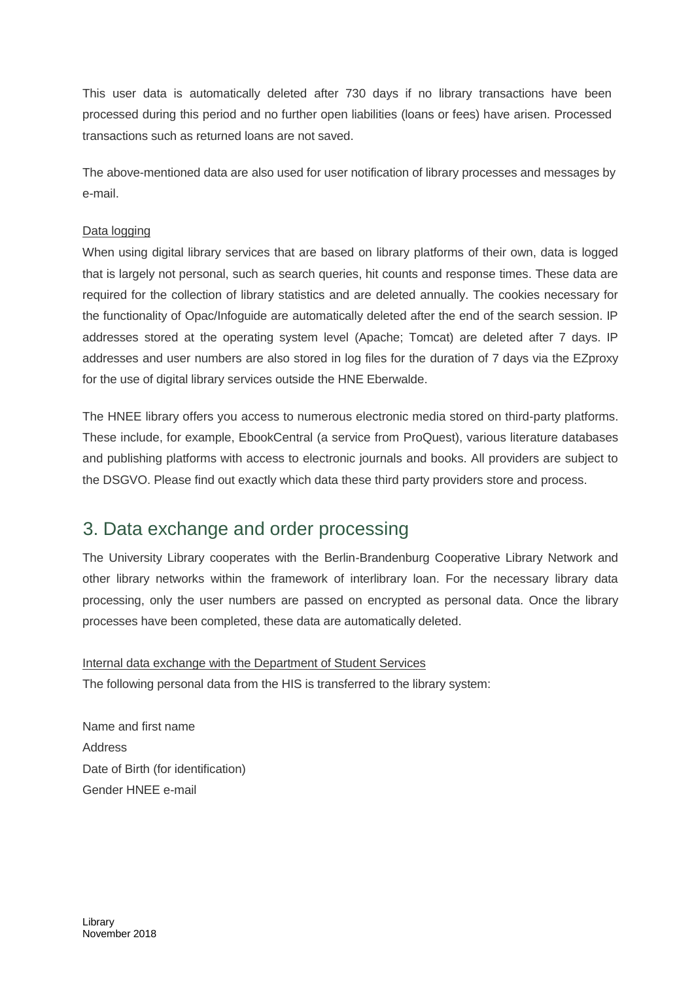This user data is automatically deleted after 730 days if no library transactions have been processed during this period and no further open liabilities (loans or fees) have arisen. Processed transactions such as returned loans are not saved.

The above-mentioned data are also used for user notification of library processes and messages by e-mail.

#### Data logging

When using digital library services that are based on library platforms of their own, data is logged that is largely not personal, such as search queries, hit counts and response times. These data are required for the collection of library statistics and are deleted annually. The cookies necessary for the functionality of Opac/Infoguide are automatically deleted after the end of the search session. IP addresses stored at the operating system level (Apache; Tomcat) are deleted after 7 days. IP addresses and user numbers are also stored in log files for the duration of 7 days via the EZproxy for the use of digital library services outside the HNE Eberwalde.

The HNEE library offers you access to numerous electronic media stored on third-party platforms. These include, for example, EbookCentral (a service from ProQuest), various literature databases and publishing platforms with access to electronic journals and books. All providers are subject to the DSGVO. Please find out exactly which data these third party providers store and process.

### <span id="page-1-0"></span>3. Data exchange and order processing

The University Library cooperates with the Berlin-Brandenburg Cooperative Library Network and other library networks within the framework of interlibrary loan. For the necessary library data processing, only the user numbers are passed on encrypted as personal data. Once the library processes have been completed, these data are automatically deleted.

Internal data exchange with the Department of Student Services The following personal data from the HIS is transferred to the library system:

Name and first name Address Date of Birth (for identification) Gender HNEE e-mail